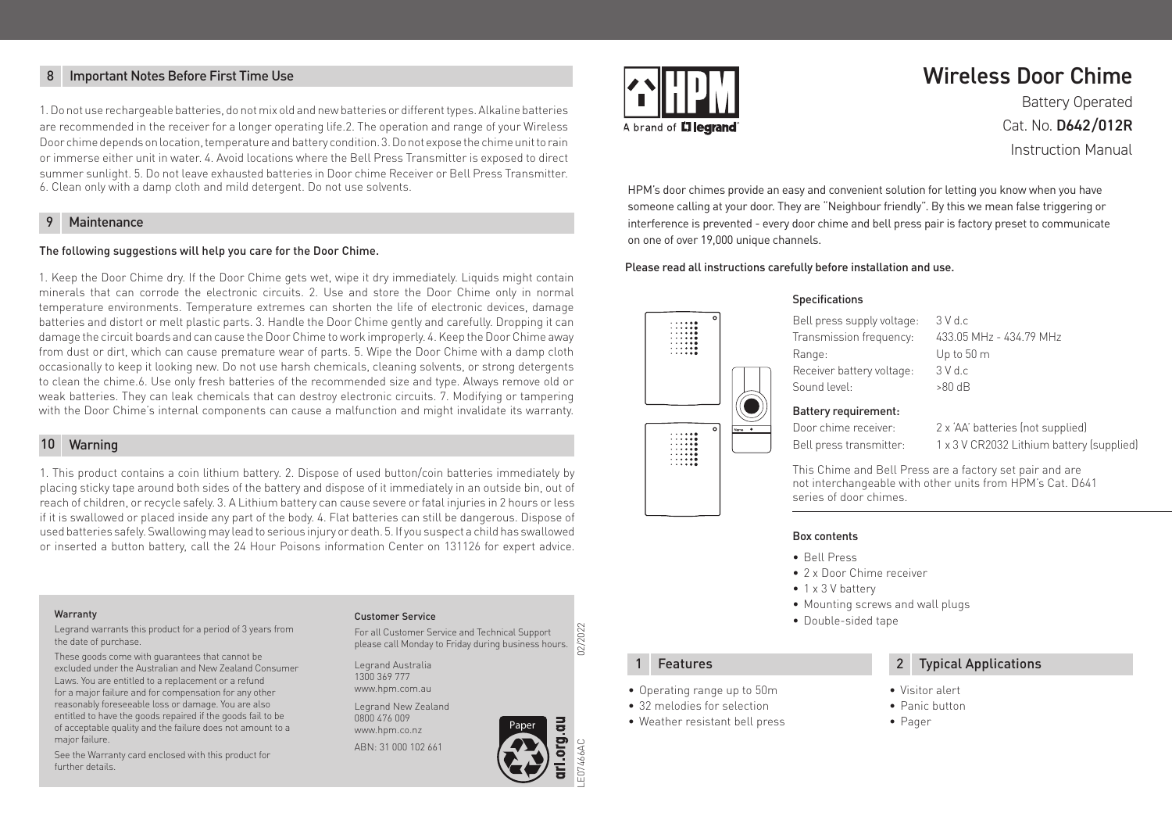### 8 Important Notes Before First Time Use

1. Do not use rechargeable batteries, do not mix old and new batteries or different types. Alkaline batteries are recommended in the receiver for a longer operating life.2. The operation and range of your Wireless Door chime depends on location, temperature and battery condition. 3. Do not expose the chime unit to rain or immerse either unit in water. 4. Avoid locations where the Bell Press Transmitter is exposed to direct summer sunlight. 5. Do not leave exhausted batteries in Door chime Receiver or Bell Press Transmitter. 6. Clean only with a damp cloth and mild detergent. Do not use solvents.

### **Maintenance**

#### The following suggestions will help you care for the Door Chime.

1. Keep the Door Chime dry. If the Door Chime gets wet, wipe it dry immediately. Liquids might contain minerals that can corrode the electronic circuits. 2. Use and store the Door Chime only in normal temperature environments. Temperature extremes can shorten the life of electronic devices, damage batteries and distort or melt plastic parts. 3. Handle the Door Chime gently and carefully. Dropping it can damage the circuit boards and can cause the Door Chime to work improperly. 4. Keep the Door Chime away from dust or dirt, which can cause premature wear of parts. 5. Wipe the Door Chime with a damp cloth occasionally to keep it looking new. Do not use harsh chemicals, cleaning solvents, or strong detergents to clean the chime.6. Use only fresh batteries of the recommended size and type. Always remove old or weak batteries. They can leak chemicals that can destroy electronic circuits. 7. Modifying or tampering with the Door Chime's internal components can cause a malfunction and might invalidate its warranty.

#### Warning 10

1. This product contains a coin lithium battery. 2. Dispose of used button/coin batteries immediately by placing sticky tape around both sides of the battery and dispose of it immediately in an outside bin, out of reach of children, or recycle safely. 3. A Lithium battery can cause severe or fatal injuries in 2 hours or less if it is swallowed or placed inside any part of the body. 4. Flat batteries can still be dangerous. Dispose of used batteries safely. Swallowing may lead to serious injury or death. 5. If you suspect a child has swallowed or inserted a button battery, call the 24 Hour Poisons information Center on 131126 for expert advice.

#### Warranty

Legrand warrants this product for a period of 3 years from the date of purchase.

These goods come with guarantees that cannot be excluded under the Australian and New Zealand Consumer Laws. You are entitled to a replacement or a refund for a major failure and for compensation for any other reasonably foreseeable loss or damage. You are also entitled to have the goods repaired if the goods fail to be of acceptable quality and the failure does not amount to a major failure.

See the Warranty card enclosed with this product for further details.

#### Customer Service

For all Customer Service and Technical Support 2/2 please call Monday to Friday during business hours.

Legrand Australia 1300 369 777

Legrand New Zealand

ABN: 31 000 102 661



# Wireless Door Chime

Battery Operated Cat. No. D642/012R Instruction Manual

HPM's door chimes provide an easy and convenient solution for letting you know when you have someone calling at your door. They are "Neighbour friendly". By this we mean false triggering or interference is prevented - every door chime and bell press pair is factory preset to communicate on one of over 19,000 unique channels.

#### Please read all instructions carefully before installation and use.



#### Specifications

Bell press supply voltage: 3 V d.c Transmission frequency: 433.05 MHz - 434.79 MHz Range: Up to 50 m Receiver battery voltage: 3 V d.c Sound level: >80 dB

### Battery requirement:

Door chime receiver: 2 x 'AA' batteries (not supplied)

Bell press transmitter: 1 x 3 V CR2032 Lithium battery (supplied)

This Chime and Bell Press are a factory set pair and are not interchangeable with other units from HPM's Cat. D641 series of door chimes.

#### Box contents

- Bell Press
- 2 x Door Chime receiver
- 1 x 3 V battery
- Mounting screws and wall plugs
- Double-sided tape

- Operating range up to 50m
- 32 melodies for selection
- Weather resistant bell press

### **1** Features **2** Typical Applications

- Visitor alert
- Panic button
- Pager

www.hpm.com.au 0800 476 009 www.hpm.co.nz



LE07466AC 02/2022